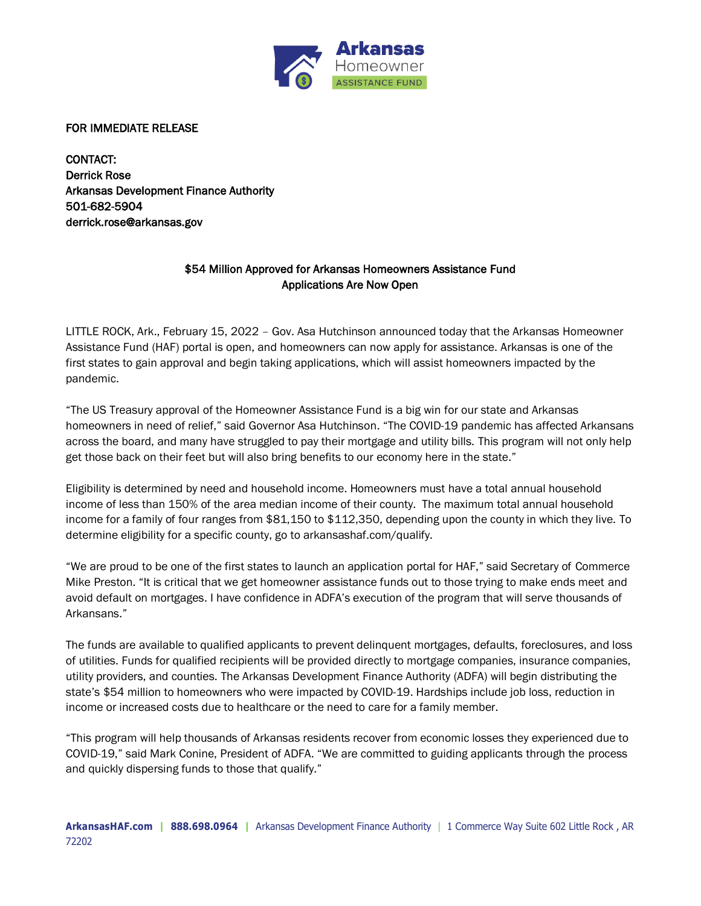

FOR IMMEDIATE RELEASE

CONTACT: Derrick Rose Arkansas Development Finance Authority 501-682-5904 derrick.rose@arkansas.gov

## \$54 Million Approved for Arkansas Homeowners Assistance Fund Applications Are Now Open

LITTLE ROCK, Ark., February 15, 2022 – Gov. Asa Hutchinson announced today that the Arkansas Homeowner Assistance Fund (HAF) portal is open, and homeowners can now apply for assistance. Arkansas is one of the first states to gain approval and begin taking applications, which will assist homeowners impacted by the pandemic.

"The US Treasury approval of the Homeowner Assistance Fund is a big win for our state and Arkansas homeowners in need of relief," said Governor Asa Hutchinson. "The COVID-19 pandemic has affected Arkansans across the board, and many have struggled to pay their mortgage and utility bills. This program will not only help get those back on their feet but will also bring benefits to our economy here in the state."

Eligibility is determined by need and household income. Homeowners must have a total annual household income of less than 150% of the area median income of their county. The maximum total annual household income for a family of four ranges from \$81,150 to \$112,350, depending upon the county in which they live. To determine eligibility for a specific county, go to arkansashaf.com/qualify.

"We are proud to be one of the first states to launch an application portal for HAF," said Secretary of Commerce Mike Preston. "It is critical that we get homeowner assistance funds out to those trying to make ends meet and avoid default on mortgages. I have confidence in ADFA's execution of the program that will serve thousands of Arkansans."

The funds are available to qualified applicants to prevent delinquent mortgages, defaults, foreclosures, and loss of utilities. Funds for qualified recipients will be provided directly to mortgage companies, insurance companies, utility providers, and counties. The Arkansas Development Finance Authority (ADFA) will begin distributing the state's \$54 million to homeowners who were impacted by COVID-19. Hardships include job loss, reduction in income or increased costs due to healthcare or the need to care for a family member.

"This program will help thousands of Arkansas residents recover from economic losses they experienced due to COVID-19," said Mark Conine, President of ADFA. "We are committed to guiding applicants through the process and quickly dispersing funds to those that qualify."